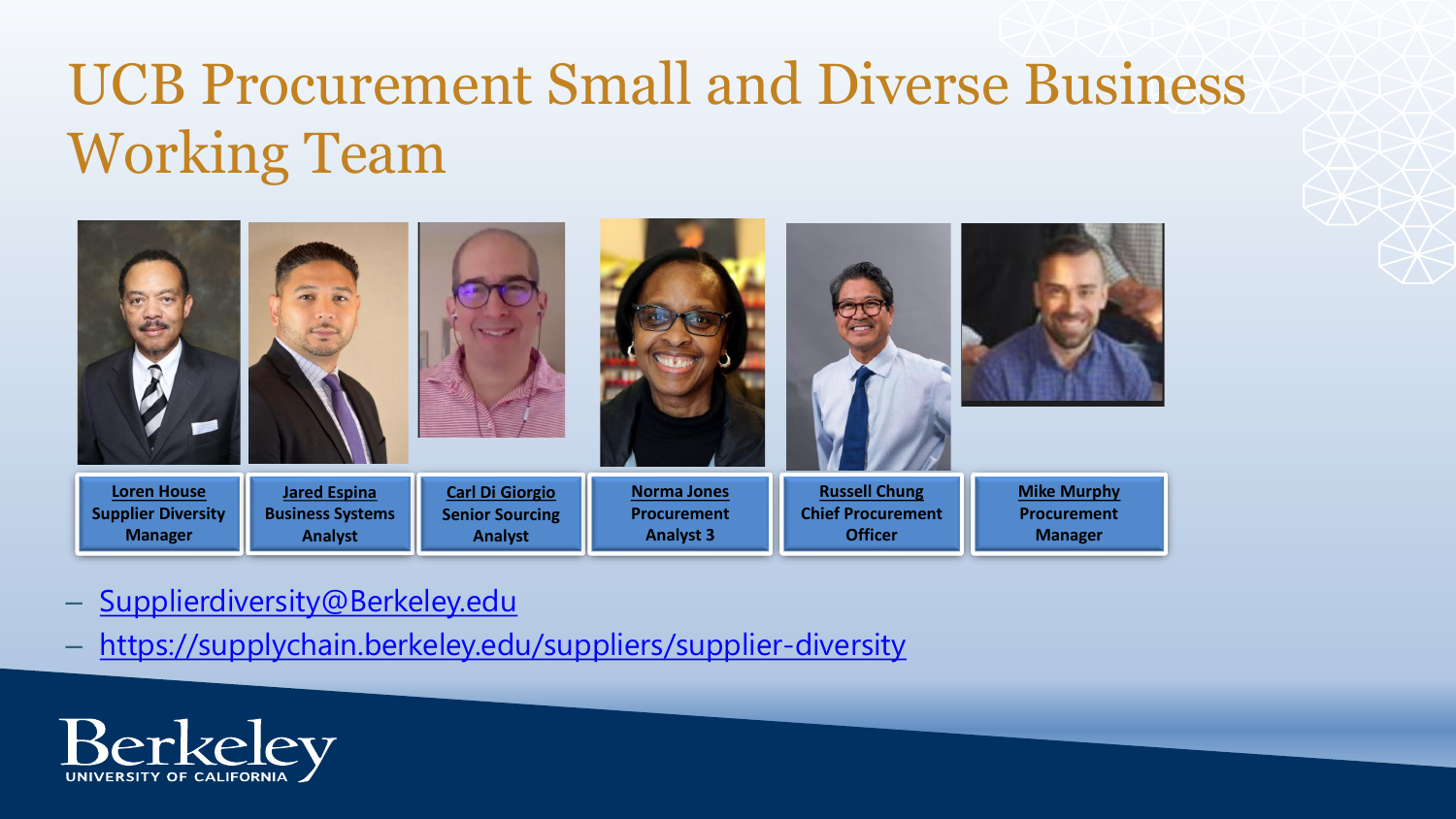# UCB Procurement Small and Diverse Business Working Team

| <b>Loren House</b>        | <b>Jared Espina</b>     | <b>Carl Di Giorgio</b> | <b>Norma Jones</b> | <b>Russell Chung</b>     | <b>Mike Murphy</b> |
|---------------------------|-------------------------|------------------------|--------------------|--------------------------|--------------------|
| <b>Supplier Diversity</b> | <b>Business Systems</b> | <b>Senior Sourcing</b> | <b>Procurement</b> | <b>Chief Procurement</b> | <b>Procurement</b> |
| <b>Manager</b>            | <b>Analyst</b>          | <b>Analyst</b>         | <b>Analyst 3</b>   | <b>Officer</b>           | <b>Manager</b>     |

- [Supplierdiversity@Berkeley.edu](mailto:Supplierdiversity@Berkeley.edu)
- <https://supplychain.berkeley.edu/suppliers/supplier-diversity>

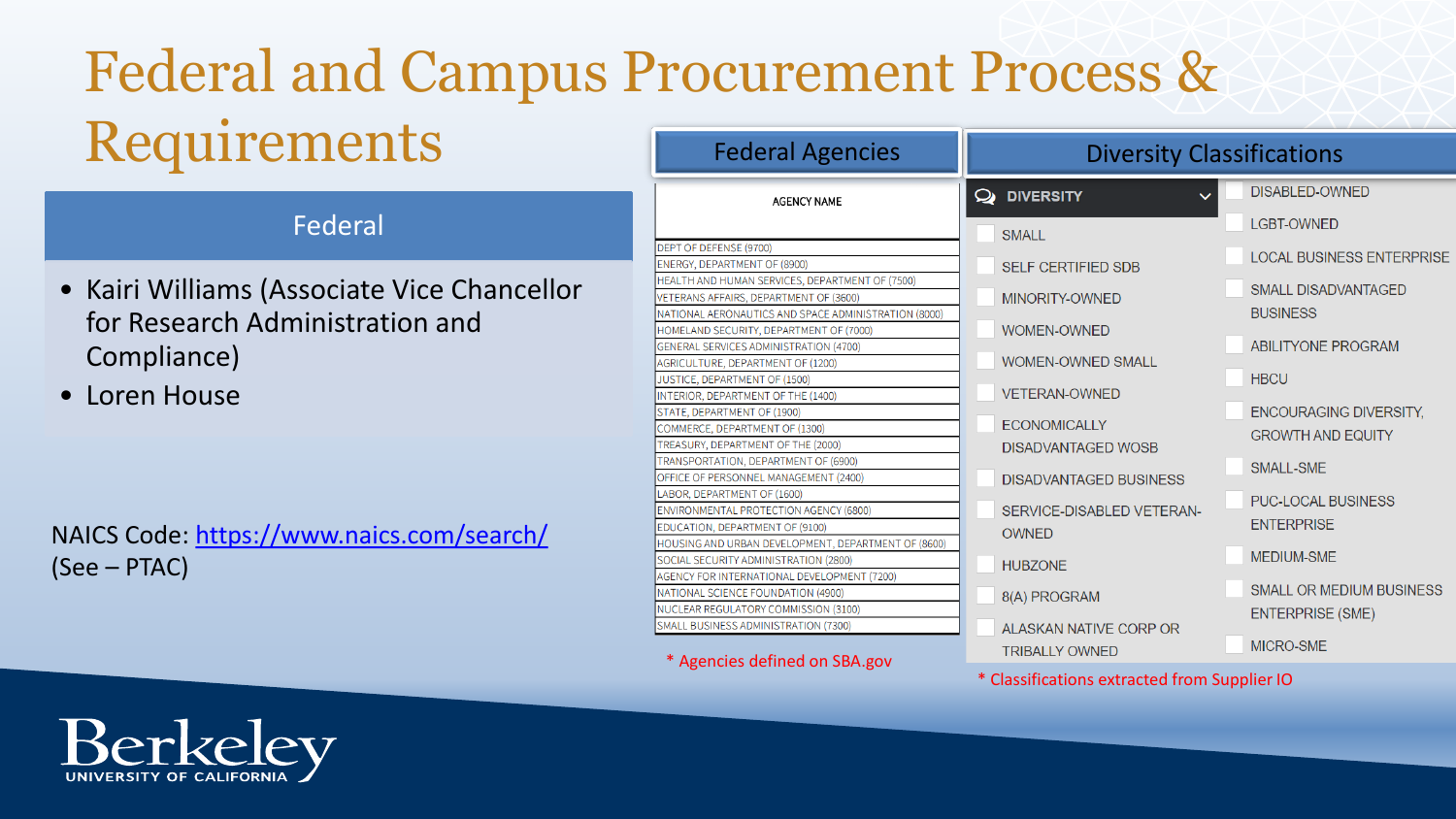# Federal and Campus Procurement Process & Requirements

### Federal

- Kairi Williams (Associate Vice Chancellor for Research Administration and Compliance)
- Loren House

NAICS Code: <https://www.naics.com/search/> (See – PTAC)

| <b>Federal Agencies</b>                                                                                                                                | <b>Diversity Classifications</b>                           |                                                            |  |  |
|--------------------------------------------------------------------------------------------------------------------------------------------------------|------------------------------------------------------------|------------------------------------------------------------|--|--|
| <b>AGENCY NAME</b>                                                                                                                                     | <b>DIVERSITY</b><br>✑<br>$\checkmark$                      | <b>DISABLED-OWNED</b>                                      |  |  |
|                                                                                                                                                        | <b>SMALL</b>                                               | <b>LGBT-OWNED</b>                                          |  |  |
| EPT OF DEFENSE (9700)<br><b>NERGY, DEPARTMENT OF (8900)</b>                                                                                            | <b>SELF CERTIFIED SDB</b>                                  | <b>LOCAL BUSINESS ENTERPRISE</b>                           |  |  |
| EALTH AND HUMAN SERVICES, DEPARTMENT OF (7500)<br>ETERANS AFFAIRS, DEPARTMENT OF (3600)<br>ATIONAL AERONAUTICS AND SPACE ADMINISTRATION (8000)         | MINORITY-OWNED                                             | <b>SMALL DISADVANTAGED</b><br><b>BUSINESS</b>              |  |  |
| OMELAND SECURITY, DEPARTMENT OF (7000)<br>ENERAL SERVICES ADMINISTRATION (4700)                                                                        | <b>WOMEN-OWNED</b>                                         | <b>ABILITYONE PROGRAM</b>                                  |  |  |
| GRICULTURE, DEPARTMENT OF (1200)<br><b>JSTICE, DEPARTMENT OF (1500)</b>                                                                                | <b>WOMEN-OWNED SMALL</b>                                   | <b>HBCU</b>                                                |  |  |
| ITERIOR, DEPARTMENT OF THE (1400)<br>TATE, DEPARTMENT OF (1900)<br>OMMERCE, DEPARTMENT OF (1300)                                                       | <b>VETERAN-OWNED</b><br><b>ECONOMICALLY</b>                | <b>ENCOURAGING DIVERSITY,</b><br><b>GROWTH AND EQUITY</b>  |  |  |
| REASURY, DEPARTMENT OF THE (2000)<br>RANSPORTATION, DEPARTMENT OF (6900)<br>FFICE OF PERSONNEL MANAGEMENT (2400)                                       | <b>DISADVANTAGED WOSB</b><br><b>DISADVANTAGED BUSINESS</b> | <b>SMALL-SME</b>                                           |  |  |
| <b>ABOR, DEPARTMENT OF (1600)</b><br><b>NVIRONMENTAL PROTECTION AGENCY (6800)</b><br>DUCATION, DEPARTMENT OF (9100)                                    | SERVICE-DISABLED VETERAN-<br><b>OWNED</b>                  | <b>PUC-LOCAL BUSINESS</b><br><b>ENTERPRISE</b>             |  |  |
| OUSING AND URBAN DEVELOPMENT, DEPARTMENT OF (8600)<br><b>OCIAL SECURITY ADMINISTRATION (2800)</b><br><b>GENCY FOR INTERNATIONAL DEVELOPMENT (7200)</b> | <b>HUBZONE</b>                                             | <b>MEDIUM-SME</b>                                          |  |  |
| ATIONAL SCIENCE FOUNDATION (4900)<br>UCLEAR REGULATORY COMMISSION (3100)                                                                               | 8(A) PROGRAM                                               | <b>SMALL OR MEDIUM BUSINESS</b><br><b>ENTERPRISE (SME)</b> |  |  |
| MALL BUSINESS ADMINISTRATION (7300)<br>* Agencies defined on SBA.gov                                                                                   | ALASKAN NATIVE CORP OR<br><b>TRIBALLY OWNED</b>            | MICRO-SME                                                  |  |  |
|                                                                                                                                                        | * Classifications extracted from Supplier IO               |                                                            |  |  |

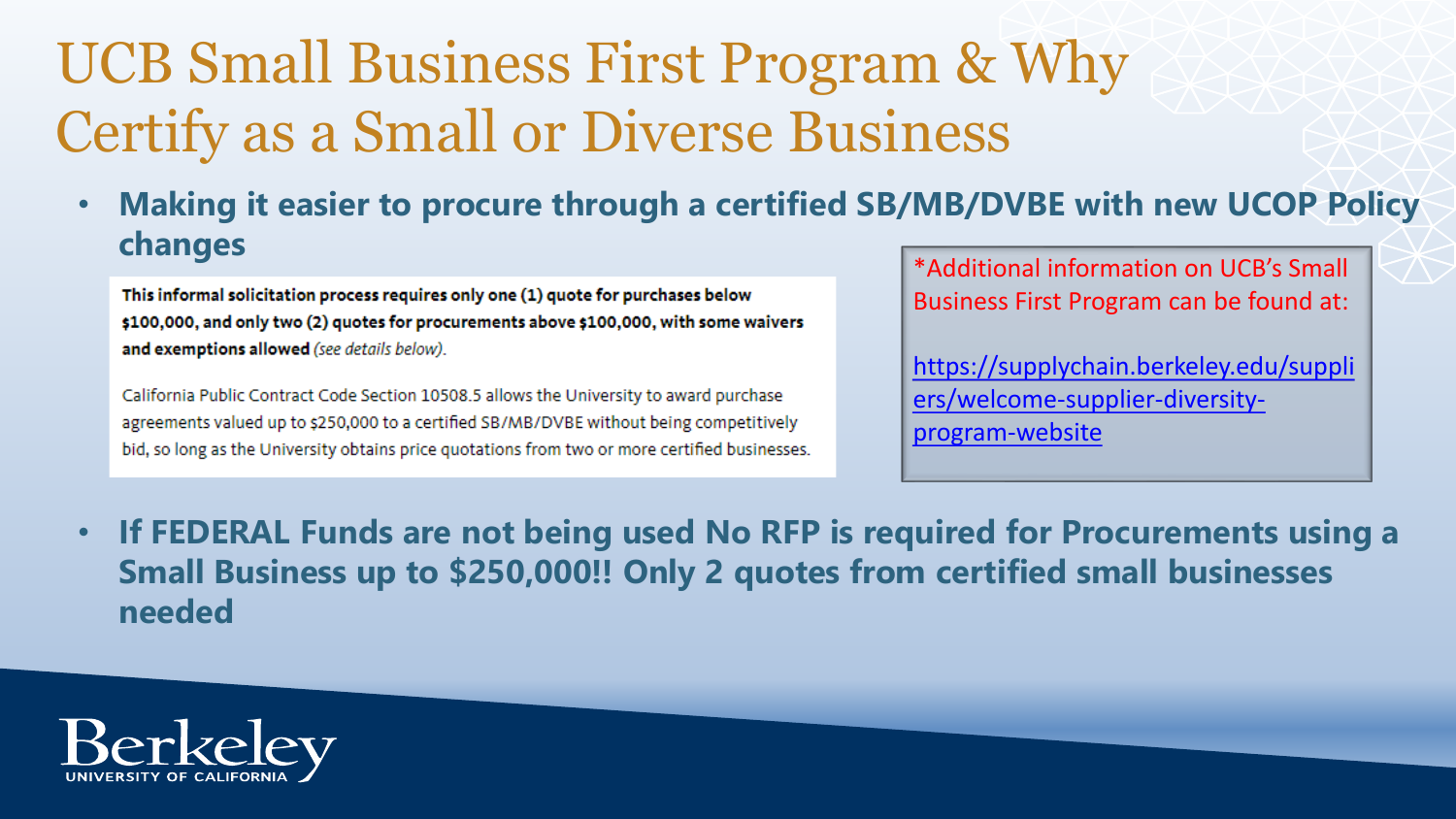# UCB Small Business First Program & Why Certify as a Small or Diverse Business

• **Making it easier to procure through a certified SB/MB/DVBE with new UCOP Policy changes**

This informal solicitation process requires only one (1) quote for purchases below \$100,000, and only two (2) quotes for procurements above \$100,000, with some waivers and exemptions allowed (see details below).

California Public Contract Code Section 10508.5 allows the University to award purchase agreements valued up to \$250,000 to a certified SB/MB/DVBE without being competitively bid, so long as the University obtains price quotations from two or more certified businesses. \*Additional information on UCB's Small Business First Program can be found at:

[https://supplychain.berkeley.edu/suppli](https://supplychain.berkeley.edu/suppliers/welcome-supplier-diversity-program-website) ers/welcome-supplier-diversityprogram-website

• **If FEDERAL Funds are not being used No RFP is required for Procurements using a Small Business up to \$250,000!! Only 2 quotes from certified small businesses needed**

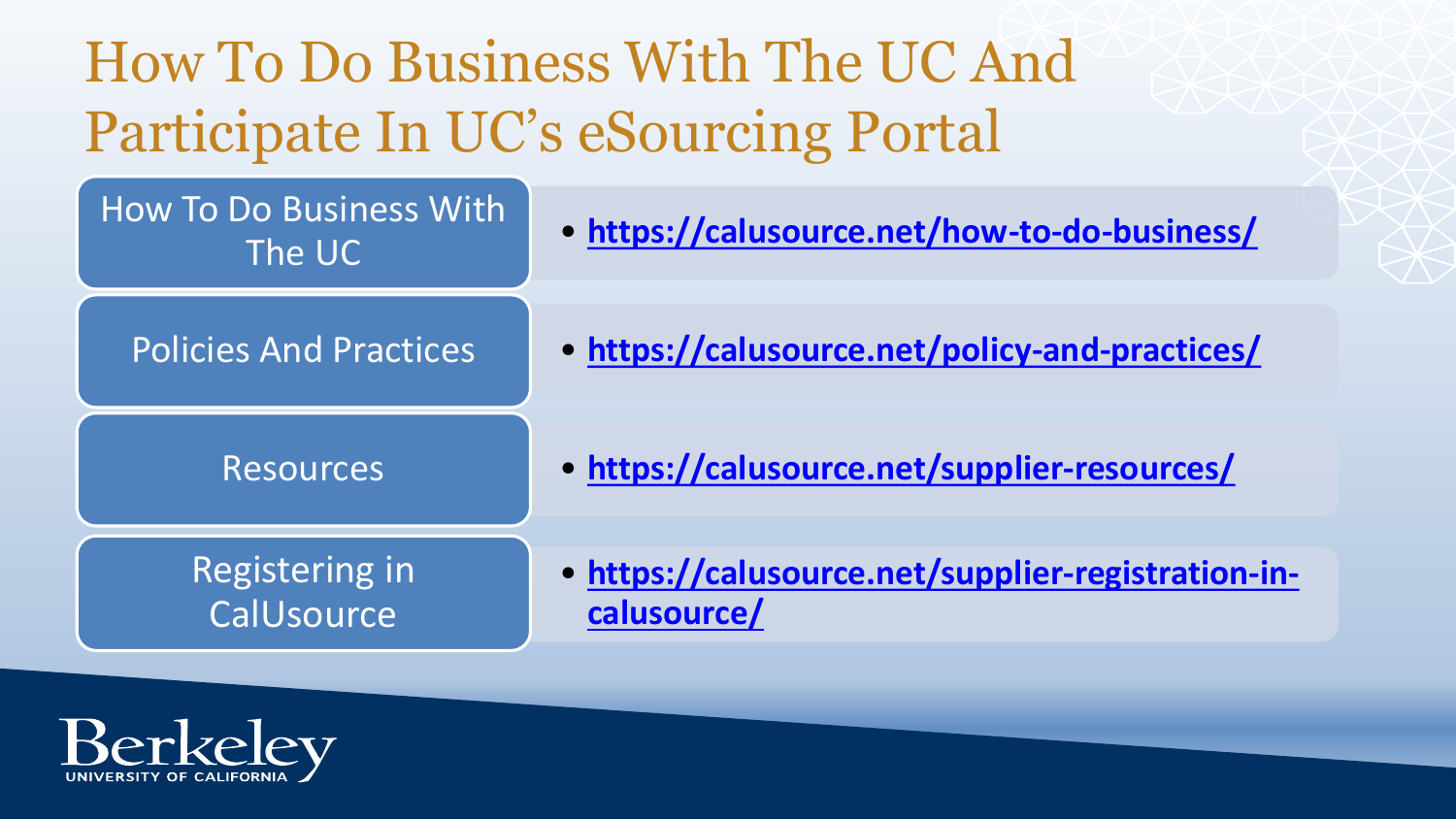How To Do Business With The UC And Participate In UC's eSourcing Portal



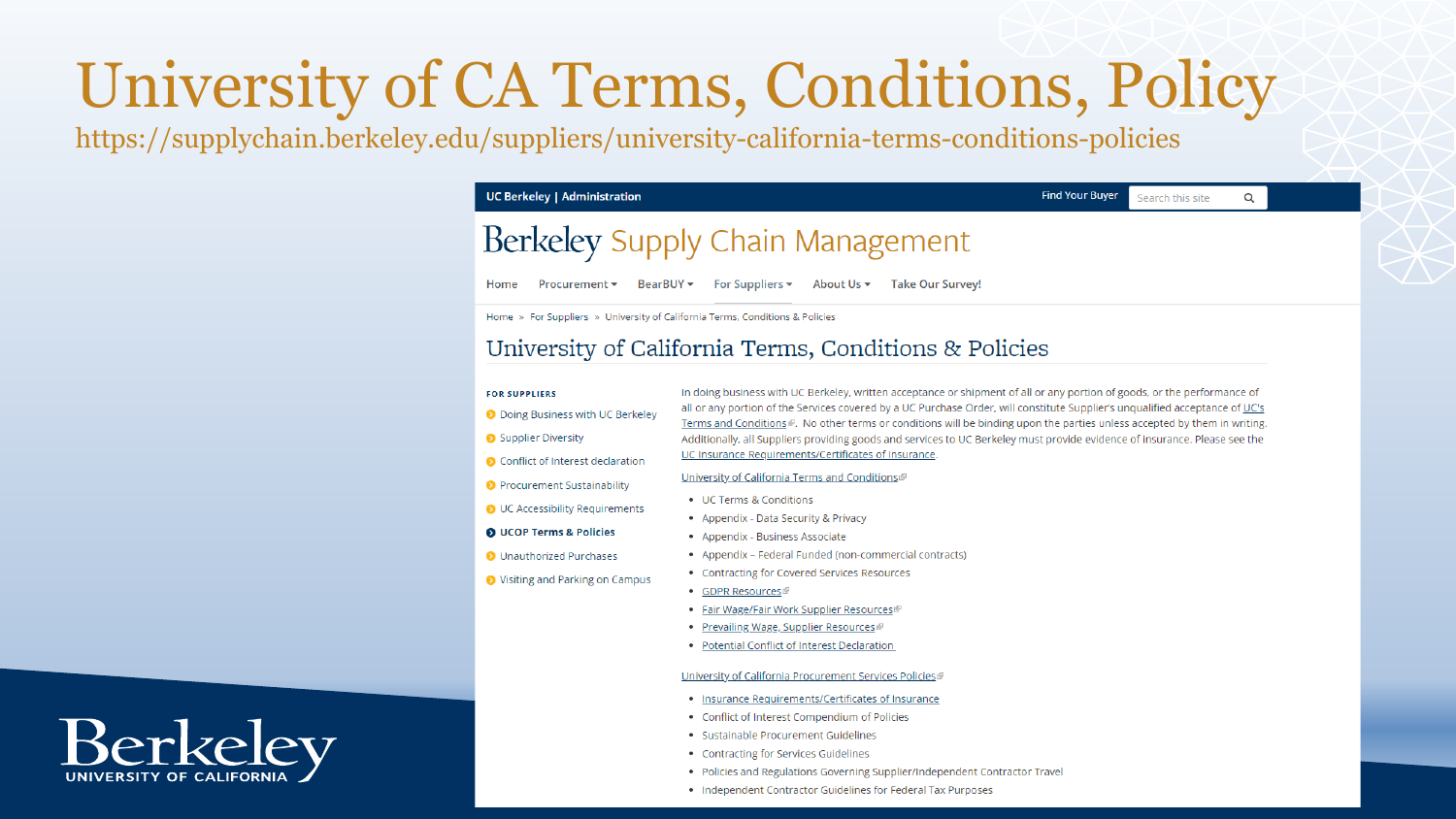# University of CA Terms, Conditions, Policy

https://supplychain.berkeley.edu/suppliers/university-california-terms-conditions-policies

**UC Berkeley | Administration** 

#### **Find Your Buyer** Search this site

Q

## Berkeley Supply Chain Management

Procurement • BearBUY • For Suppliers • About Us • Take Our Survey! Home

Home » For Suppliers » University of California Terms, Conditions & Policies

### University of California Terms, Conditions & Policies

#### **FOR SUPPLIERS**

- O Doing Business with UC Berkeley
- Supplier Diversity
- Conflict of Interest declaration
- Procurement Sustainability

O UCOP Terms & Policies

O Unauthorized Purchases

O UC Accessibility Requirements

◆ Visiting and Parking on Campus

- 
- 
- Appendix Federal Funded (non-commercial contracts)
- Contracting for Covered Services Resources
- GDPR Resources
- Fair Wage/Fair Work Supplier Resources
- Prevailing Wage, Supplier Resources
- Potential Conflict of Interest Declaration

#### University of California Procurement Services Policies<sup>®</sup>

- . Insurance Requirements/Certificates of Insurance
- Conflict of Interest Compendium of Policies
- · Sustainable Procurement Guidelines
- Contracting for Services Guidelines
- Policies and Regulations Governing Supplier/Independent Contractor Travel
- Independent Contractor Guidelines for Federal Tax Purposes

**Berkeley** 

In doing business with UC Berkeley, written acceptance or shipment of all or any portion of goods, or the performance of all or any portion of the Services covered by a UC Purchase Order, will constitute Supplier's unqualified acceptance of UC's Terms and Conditions . No other terms or conditions will be binding upon the parties unless accepted by them in writing. Additionally, all Suppliers providing goods and services to UC Berkeley must provide evidence of insurance. Please see the UC Insurance Requirements/Certificates of Insurance.

#### University of California Terms and Conditions

- UC Terms & Conditions
- Appendix Data Security & Privacy
- Appendix Business Associate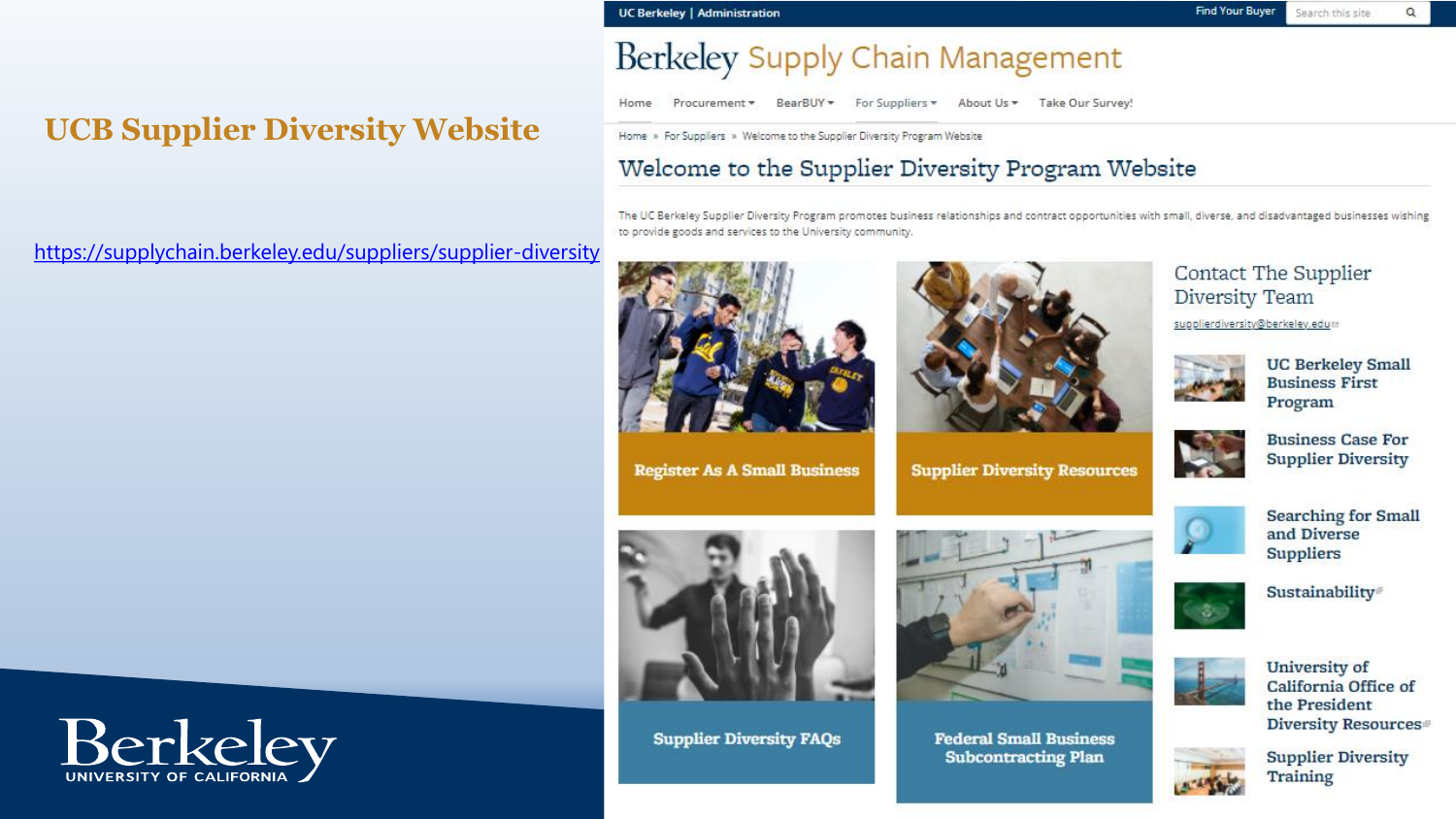#### **UC Berkeley | Administration**

## **UCB Supplier Diversity Website**

https://supplychain.berkeley.edu/suppliers/supplier-diversity

## Berkeley Supply Chain Management

Home Procurement \* BearBUY \* For Suppliers \* About Us \* Take Our Survey!

Home » For Suppliers » Welcome to the Supplier Diversity Program Website

### Welcome to the Supplier Diversity Program Website

The UC Berkeley Supplier Diversity Program promotes business relationships and contract opportunities with small, diverse, and disadvantaged businesses wishing to provide goods and services to the University community.



**Supplier Diversity FAQs** 



**Supplier Diversity Resources** 

**Federal Small Business Subcontracting Plan** 

Contact The Supplier Diversity Team

supplierdiversity@berkeley.edum



**UC Berkeley Small Business First** Program



**Business Case For Supplier Diversity** 



**Searching for Small** and Diverse **Suppliers** 



Sustainability®



**University of** California Office of the President Diversity Resources<sup>®</sup>



**Supplier Diversity Training** 

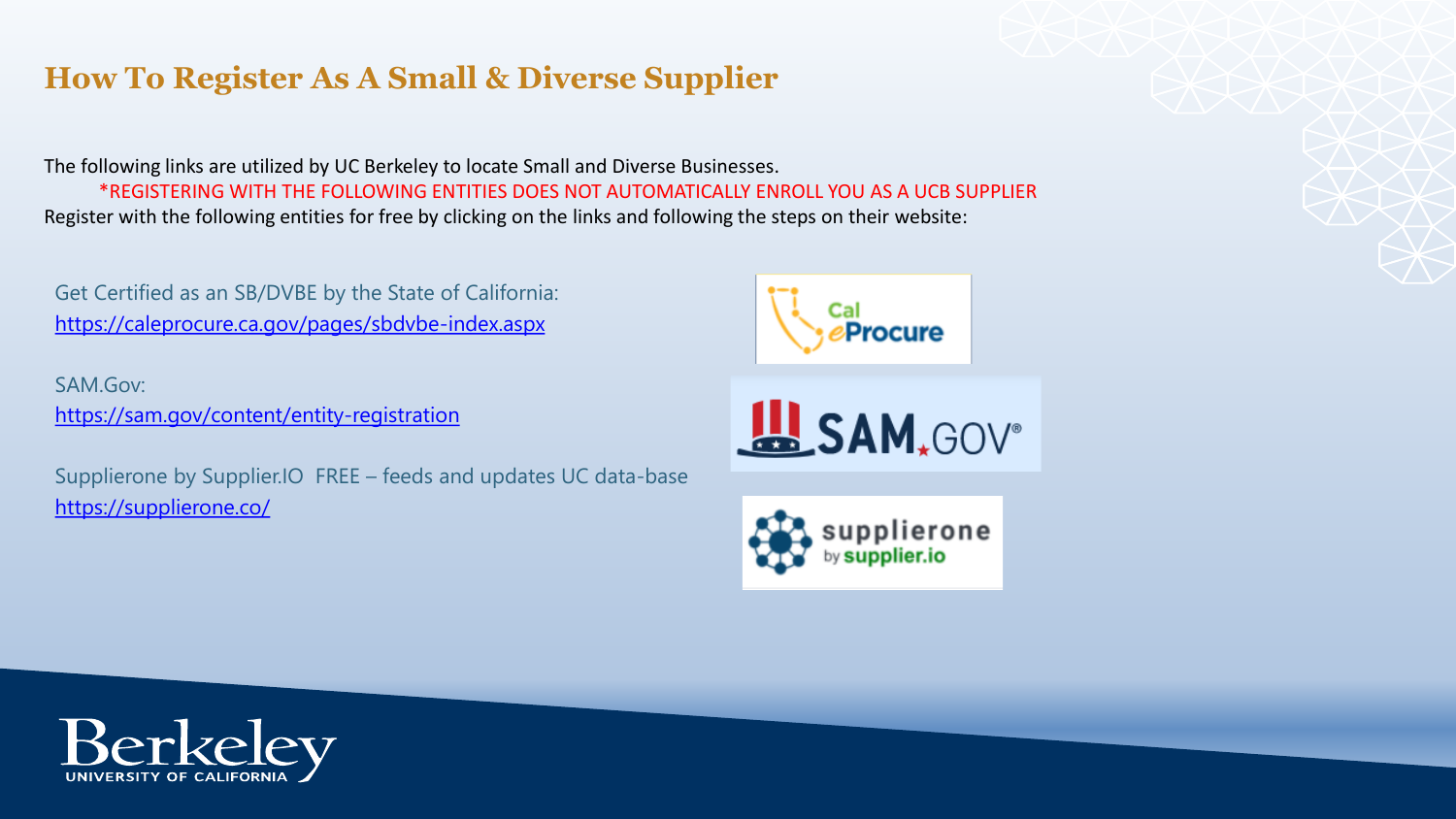## **How To Register As A Small & Diverse Supplier**

The following links are utilized by UC Berkeley to locate Small and Diverse Businesses. \*REGISTERING WITH THE FOLLOWING ENTITIES DOES NOT AUTOMATICALLY ENROLL YOU AS A UCB SUPPLIER Register with the following entities for free by clicking on the links and following the steps on their website:

Get Certified as an SB/DVBE by the State of California: <https://caleprocure.ca.gov/pages/sbdvbe-index.aspx>

SAM.Gov: <https://sam.gov/content/entity-registration>

Supplierone by Supplier.IO FREE – feeds and updates UC data-base <https://supplierone.co/>

**Procure**